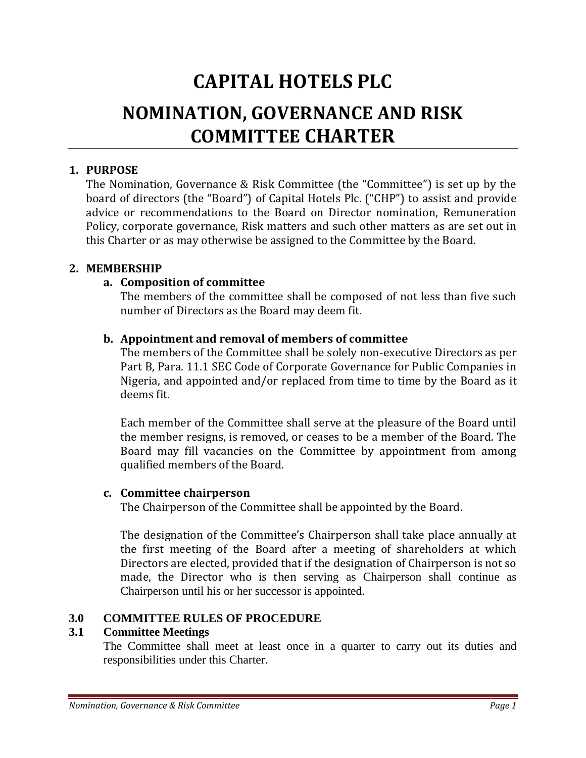# **CAPITAL HOTELS PLC NOMINATION, GOVERNANCE AND RISK COMMITTEE CHARTER**

## **1. PURPOSE**

The Nomination, Governance & Risk Committee (the "Committee") is set up by the board of directors (the "Board") of Capital Hotels Plc. ("CHP") to assist and provide advice or recommendations to the Board on Director nomination, Remuneration Policy, corporate governance, Risk matters and such other matters as are set out in this Charter or as may otherwise be assigned to the Committee by the Board.

## **2. MEMBERSHIP**

# **a. Composition of committee**

The members of the committee shall be composed of not less than five such number of Directors as the Board may deem fit.

# **b. Appointment and removal of members of committee**

The members of the Committee shall be solely non-executive Directors as per Part B, Para. 11.1 SEC Code of Corporate Governance for Public Companies in Nigeria, and appointed and/or replaced from time to time by the Board as it deems fit.

Each member of the Committee shall serve at the pleasure of the Board until the member resigns, is removed, or ceases to be a member of the Board. The Board may fill vacancies on the Committee by appointment from among qualified members of the Board.

## **c. Committee chairperson**

The Chairperson of the Committee shall be appointed by the Board.

The designation of the Committee's Chairperson shall take place annually at the first meeting of the Board after a meeting of shareholders at which Directors are elected, provided that if the designation of Chairperson is not so made, the Director who is then serving as Chairperson shall continue as Chairperson until his or her successor is appointed.

# **3.0 COMMITTEE RULES OF PROCEDURE**

# **3.1 Committee Meetings**

The Committee shall meet at least once in a quarter to carry out its duties and responsibilities under this Charter.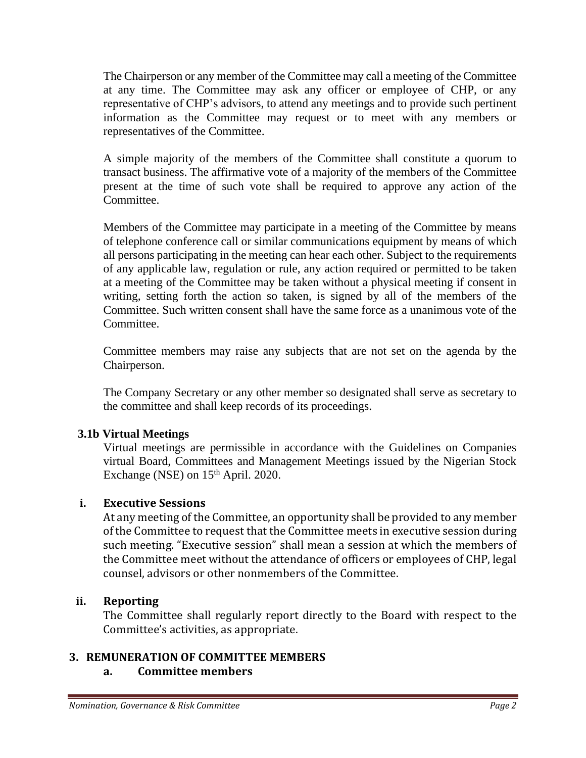The Chairperson or any member of the Committee may call a meeting of the Committee at any time. The Committee may ask any officer or employee of CHP, or any representative of CHP's advisors, to attend any meetings and to provide such pertinent information as the Committee may request or to meet with any members or representatives of the Committee.

A simple majority of the members of the Committee shall constitute a quorum to transact business. The affirmative vote of a majority of the members of the Committee present at the time of such vote shall be required to approve any action of the Committee.

Members of the Committee may participate in a meeting of the Committee by means of telephone conference call or similar communications equipment by means of which all persons participating in the meeting can hear each other. Subject to the requirements of any applicable law, regulation or rule, any action required or permitted to be taken at a meeting of the Committee may be taken without a physical meeting if consent in writing, setting forth the action so taken, is signed by all of the members of the Committee. Such written consent shall have the same force as a unanimous vote of the Committee.

Committee members may raise any subjects that are not set on the agenda by the Chairperson.

The Company Secretary or any other member so designated shall serve as secretary to the committee and shall keep records of its proceedings.

## **3.1b Virtual Meetings**

Virtual meetings are permissible in accordance with the Guidelines on Companies virtual Board, Committees and Management Meetings issued by the Nigerian Stock Exchange (NSE) on  $15<sup>th</sup>$  April. 2020.

# **i. Executive Sessions**

At any meeting of the Committee, an opportunity shall be provided to any member of the Committee to request that the Committee meets in executive session during such meeting. "Executive session" shall mean a session at which the members of the Committee meet without the attendance of officers or employees of CHP, legal counsel, advisors or other nonmembers of the Committee.

## **ii. Reporting**

The Committee shall regularly report directly to the Board with respect to the Committee's activities, as appropriate.

## **3. REMUNERATION OF COMMITTEE MEMBERS**

# **a. Committee members**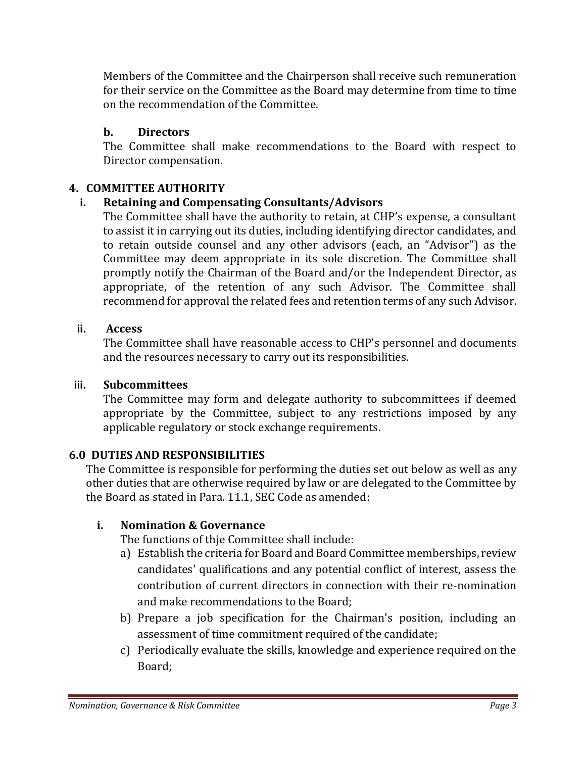Members of the Committee and the Chairperson shall receive such remuneration for their service on the Committee as the Board may determine from time to time on the recommendation of the Committee.

# **b. Directors**

The Committee shall make recommendations to the Board with respect to Director compensation.

# **4. COMMITTEE AUTHORITY**

# **i. Retaining and Compensating Consultants/Advisors**

The Committee shall have the authority to retain, at CHP's expense, a consultant to assist it in carrying out its duties, including identifying director candidates, and to retain outside counsel and any other advisors (each, an "Advisor") as the Committee may deem appropriate in its sole discretion. The Committee shall promptly notify the Chairman of the Board and/or the Independent Director, as appropriate, of the retention of any such Advisor. The Committee shall recommend for approval the related fees and retention terms of any such Advisor.

# **ii. Access**

The Committee shall have reasonable access to CHP's personnel and documents and the resources necessary to carry out its responsibilities.

## **iii. Subcommittees**

The Committee may form and delegate authority to subcommittees if deemed appropriate by the Committee, subject to any restrictions imposed by any applicable regulatory or stock exchange requirements.

## **6.0 DUTIES AND RESPONSIBILITIES**

The Committee is responsible for performing the duties set out below as well as any other duties that are otherwise required by law or are delegated to the Committee by the Board as stated in Para. 11.1, SEC Code as amended:

## **i. Nomination & Governance**

The functions of thje Committee shall include:

- a) Establish the criteria for Board and Board Committee memberships, review candidates' qualifications and any potential conflict of interest, assess the contribution of current directors in connection with their re-nomination and make recommendations to the Board;
- b) Prepare a job specification for the Chairman's position, including an assessment of time commitment required of the candidate;
- c) Periodically evaluate the skills, knowledge and experience required on the Board;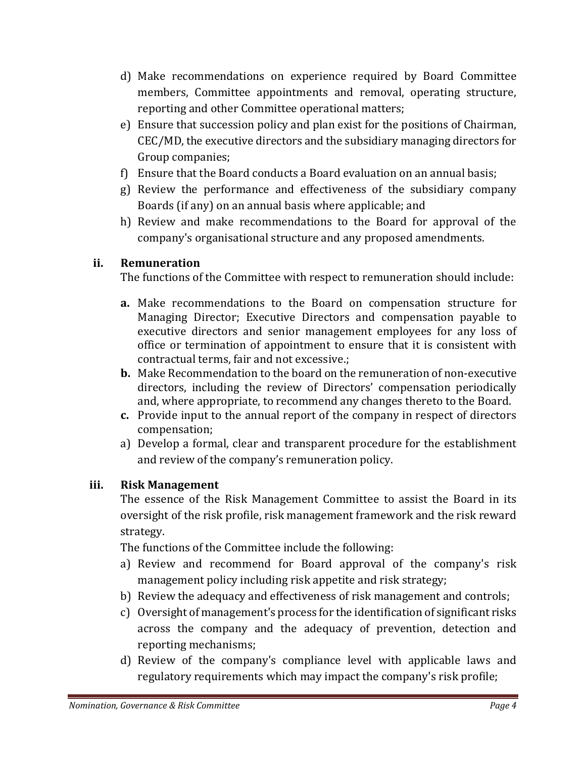- d) Make recommendations on experience required by Board Committee members, Committee appointments and removal, operating structure, reporting and other Committee operational matters;
- e) Ensure that succession policy and plan exist for the positions of Chairman, CEC/MD, the executive directors and the subsidiary managing directors for Group companies;
- f) Ensure that the Board conducts a Board evaluation on an annual basis;
- g) Review the performance and effectiveness of the subsidiary company Boards (if any) on an annual basis where applicable; and
- h) Review and make recommendations to the Board for approval of the company's organisational structure and any proposed amendments.

# **ii. Remuneration**

The functions of the Committee with respect to remuneration should include:

- **a.** Make recommendations to the Board on compensation structure for Managing Director; Executive Directors and compensation payable to executive directors and senior management employees for any loss of office or termination of appointment to ensure that it is consistent with contractual terms, fair and not excessive.;
- **b.** Make Recommendation to the board on the remuneration of non-executive directors, including the review of Directors' compensation periodically and, where appropriate, to recommend any changes thereto to the Board.
- **c.** Provide input to the annual report of the company in respect of directors compensation;
- a) Develop a formal, clear and transparent procedure for the establishment and review of the company's remuneration policy.

# **iii. Risk Management**

The essence of the Risk Management Committee to assist the Board in its oversight of the risk profile, risk management framework and the risk reward strategy.

The functions of the Committee include the following:

- a) Review and recommend for Board approval of the company's risk management policy including risk appetite and risk strategy;
- b) Review the adequacy and effectiveness of risk management and controls;
- c) Oversight of management's process for the identification of significant risks across the company and the adequacy of prevention, detection and reporting mechanisms;
- d) Review of the company's compliance level with applicable laws and regulatory requirements which may impact the company's risk profile;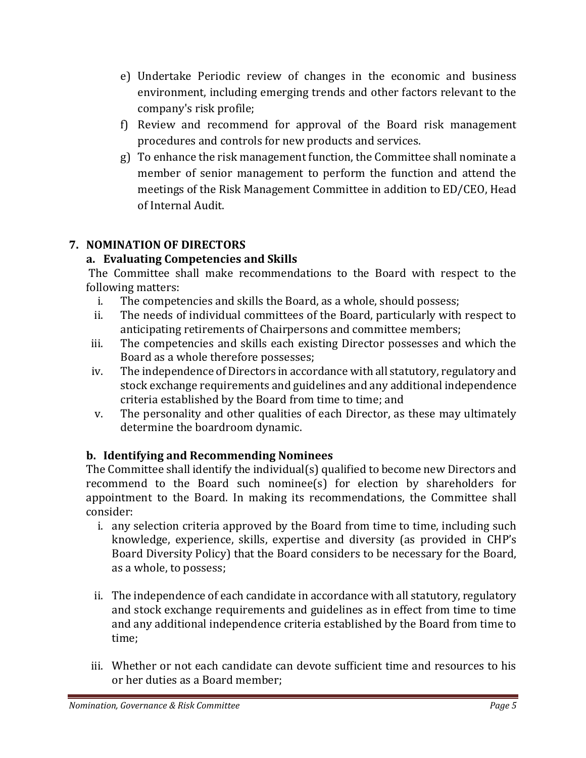- e) Undertake Periodic review of changes in the economic and business environment, including emerging trends and other factors relevant to the company's risk profile;
- f) Review and recommend for approval of the Board risk management procedures and controls for new products and services.
- g) To enhance the risk management function, the Committee shall nominate a member of senior management to perform the function and attend the meetings of the Risk Management Committee in addition to ED/CEO, Head of Internal Audit.

# **7. NOMINATION OF DIRECTORS**

# **a. Evaluating Competencies and Skills**

The Committee shall make recommendations to the Board with respect to the following matters:

- i. The competencies and skills the Board, as a whole, should possess;
- ii. The needs of individual committees of the Board, particularly with respect to anticipating retirements of Chairpersons and committee members;
- iii. The competencies and skills each existing Director possesses and which the Board as a whole therefore possesses;
- iv. The independence of Directors in accordance with all statutory, regulatory and stock exchange requirements and guidelines and any additional independence criteria established by the Board from time to time; and
- v. The personality and other qualities of each Director, as these may ultimately determine the boardroom dynamic.

# **b. Identifying and Recommending Nominees**

The Committee shall identify the individual(s) qualified to become new Directors and recommend to the Board such nominee(s) for election by shareholders for appointment to the Board. In making its recommendations, the Committee shall consider:

- i. any selection criteria approved by the Board from time to time, including such knowledge, experience, skills, expertise and diversity (as provided in CHP's Board Diversity Policy) that the Board considers to be necessary for the Board, as a whole, to possess;
- ii. The independence of each candidate in accordance with all statutory, regulatory and stock exchange requirements and guidelines as in effect from time to time and any additional independence criteria established by the Board from time to time;
- iii. Whether or not each candidate can devote sufficient time and resources to his or her duties as a Board member;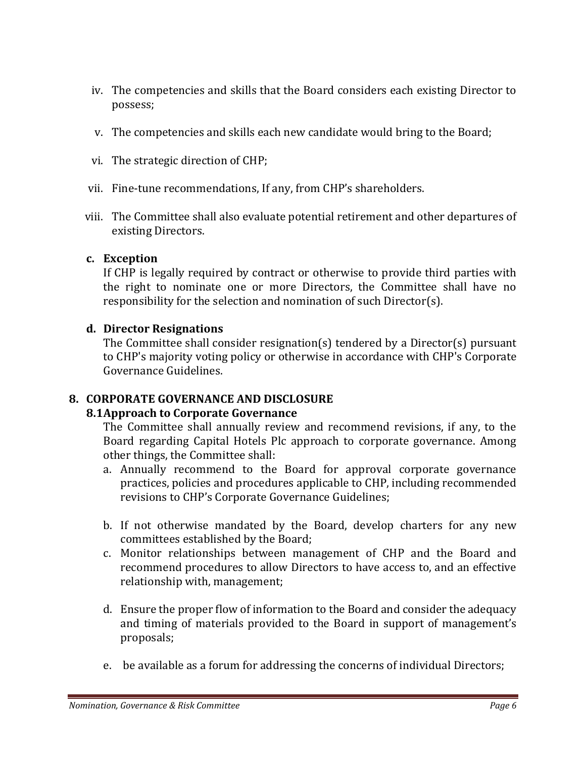- iv. The competencies and skills that the Board considers each existing Director to possess;
- v. The competencies and skills each new candidate would bring to the Board;
- vi. The strategic direction of CHP;
- vii. Fine-tune recommendations, If any, from CHP's shareholders.
- viii. The Committee shall also evaluate potential retirement and other departures of existing Directors.

## **c. Exception**

If CHP is legally required by contract or otherwise to provide third parties with the right to nominate one or more Directors, the Committee shall have no responsibility for the selection and nomination of such Director(s).

## **d. Director Resignations**

The Committee shall consider resignation(s) tendered by a Director(s) pursuant to CHP's majority voting policy or otherwise in accordance with CHP's Corporate Governance Guidelines.

## **8. CORPORATE GOVERNANCE AND DISCLOSURE**

## **8.1Approach to Corporate Governance**

The Committee shall annually review and recommend revisions, if any, to the Board regarding Capital Hotels Plc approach to corporate governance. Among other things, the Committee shall:

- a. Annually recommend to the Board for approval corporate governance practices, policies and procedures applicable to CHP, including recommended revisions to CHP's Corporate Governance Guidelines;
- b. If not otherwise mandated by the Board, develop charters for any new committees established by the Board;
- c. Monitor relationships between management of CHP and the Board and recommend procedures to allow Directors to have access to, and an effective relationship with, management;
- d. Ensure the proper flow of information to the Board and consider the adequacy and timing of materials provided to the Board in support of management's proposals;
- e. be available as a forum for addressing the concerns of individual Directors;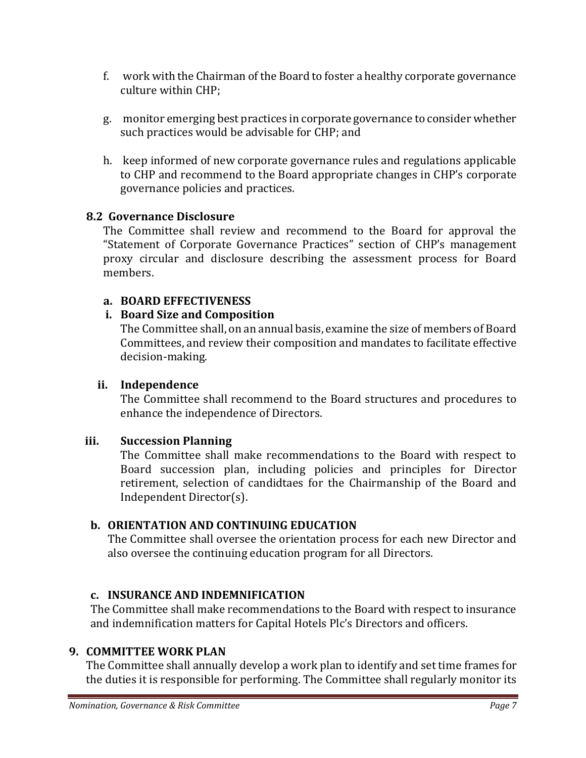- f. work with the Chairman of the Board to foster a healthy corporate governance culture within CHP;
- g. monitor emerging best practices in corporate governance to consider whether such practices would be advisable for CHP; and
- h. keep informed of new corporate governance rules and regulations applicable to CHP and recommend to the Board appropriate changes in CHP's corporate governance policies and practices.

# **8.2 Governance Disclosure**

The Committee shall review and recommend to the Board for approval the "Statement of Corporate Governance Practices" section of CHP's management proxy circular and disclosure describing the assessment process for Board members.

# **a. BOARD EFFECTIVENESS**

# **i. Board Size and Composition**

The Committee shall, on an annual basis, examine the size of members of Board Committees, and review their composition and mandates to facilitate effective decision-making.

# **ii. Independence**

The Committee shall recommend to the Board structures and procedures to enhance the independence of Directors.

# **iii. Succession Planning**

The Committee shall make recommendations to the Board with respect to Board succession plan, including policies and principles for Director retirement, selection of candidtaes for the Chairmanship of the Board and Independent Director(s).

# **b. ORIENTATION AND CONTINUING EDUCATION**

The Committee shall oversee the orientation process for each new Director and also oversee the continuing education program for all Directors.

# **c. INSURANCE AND INDEMNIFICATION**

The Committee shall make recommendations to the Board with respect to insurance and indemnification matters for Capital Hotels Plc's Directors and officers.

## **9. COMMITTEE WORK PLAN**

The Committee shall annually develop a work plan to identify and set time frames for the duties it is responsible for performing. The Committee shall regularly monitor its